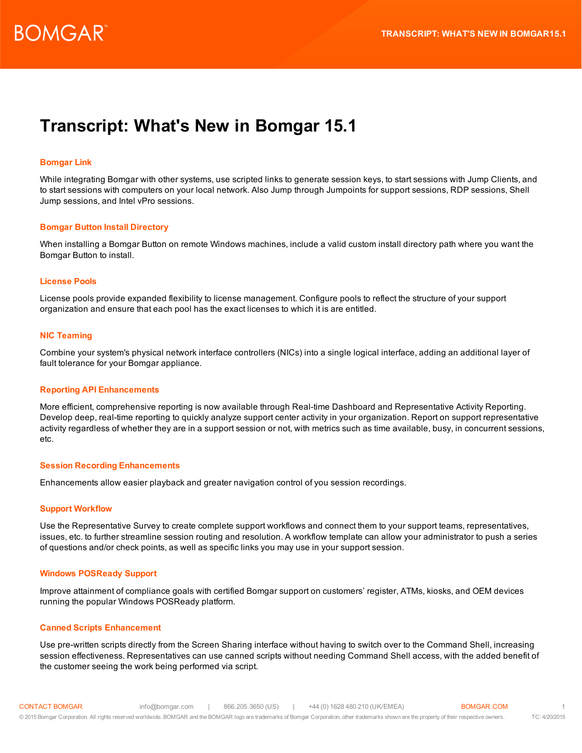# **Transcript: What's New in Bomgar 15.1**

## **Bomgar Link**

While integrating Bomgar with other systems, use scripted links to generate session keys, to start sessions with Jump Clients, and to start sessions with computers on your local network. Also Jump through Jumpoints for support sessions, RDP sessions, Shell Jump sessions, and Intel vPro sessions.

### **Bomgar Button Install Directory**

When installing a Bomgar Button on remote Windows machines, include a valid custom install directory path where you want the Bomgar Button to install.

### **License Pools**

License pools provide expanded flexibility to license management. Configure pools to reflect the structure of your support organization and ensure that each pool has the exact licenses to which it is are entitled.

### **NIC Teaming**

Combine your system's physical network interface controllers (NICs) into a single logical interface, adding an additional layer of fault tolerance for your Bomgar appliance.

### **Reporting API Enhancements**

More efficient, comprehensive reporting is now available through Real-time Dashboard and Representative Activity Reporting. Develop deep, real-time reporting to quickly analyze support center activity in your organization. Report on support representative activity regardless of whether they are in a support session or not, with metrics such as time available, busy, in concurrent sessions, etc.

### **Session Recording Enhancements**

Enhancements allow easier playback and greater navigation control of you session recordings.

### **Support Workflow**

Use the Representative Survey to create complete support workflows and connect them to your support teams, representatives, issues, etc. to further streamline session routing and resolution. A workflow template can allow your administrator to push a series of questions and/or check points, as well as specific links you may use in your support session.

### **Windows POSReady Support**

Improve attainment of compliance goals with certified Bomgar support on customers' register, ATMs, kiosks, and OEM devices running the popular Windows POSReady platform.

### **Canned Scripts Enhancement**

Use pre-written scripts directly from the Screen Sharing interface without having to switch over to the Command Shell, increasing session effectiveness. Representatives can use canned scripts without needing Command Shell access, with the added benefit of the customer seeing the work being performed via script.